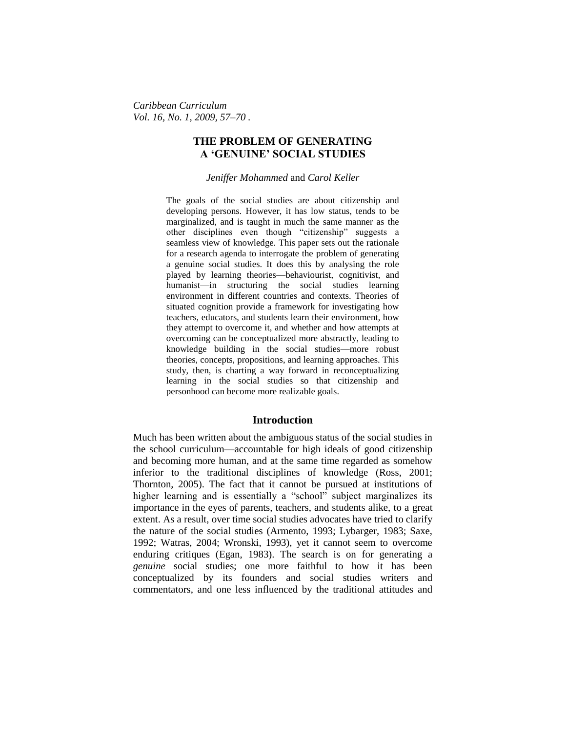*Caribbean Curriculum Vol. 16, No. 1, 2009, 57–70 .*

# **THE PROBLEM OF GENERATING A 'GENUINE' SOCIAL STUDIES**

#### *Jeniffer Mohammed* and *Carol Keller*

The goals of the social studies are about citizenship and developing persons. However, it has low status, tends to be marginalized, and is taught in much the same manner as the other disciplines even though "citizenship" suggests a seamless view of knowledge. This paper sets out the rationale for a research agenda to interrogate the problem of generating a genuine social studies. It does this by analysing the role played by learning theories—behaviourist, cognitivist, and humanist—in structuring the social studies learning environment in different countries and contexts. Theories of situated cognition provide a framework for investigating how teachers, educators, and students learn their environment, how they attempt to overcome it, and whether and how attempts at overcoming can be conceptualized more abstractly, leading to knowledge building in the social studies—more robust theories, concepts, propositions, and learning approaches. This study, then, is charting a way forward in reconceptualizing learning in the social studies so that citizenship and personhood can become more realizable goals.

## **Introduction**

Much has been written about the ambiguous status of the social studies in the school curriculum—accountable for high ideals of good citizenship and becoming more human, and at the same time regarded as somehow inferior to the traditional disciplines of knowledge (Ross, 2001; Thornton, 2005). The fact that it cannot be pursued at institutions of higher learning and is essentially a "school" subject marginalizes its importance in the eyes of parents, teachers, and students alike, to a great extent. As a result, over time social studies advocates have tried to clarify the nature of the social studies (Armento, 1993; Lybarger, 1983; Saxe, 1992; Watras, 2004; Wronski, 1993), yet it cannot seem to overcome enduring critiques (Egan, 1983). The search is on for generating a *genuine* social studies; one more faithful to how it has been conceptualized by its founders and social studies writers and commentators, and one less influenced by the traditional attitudes and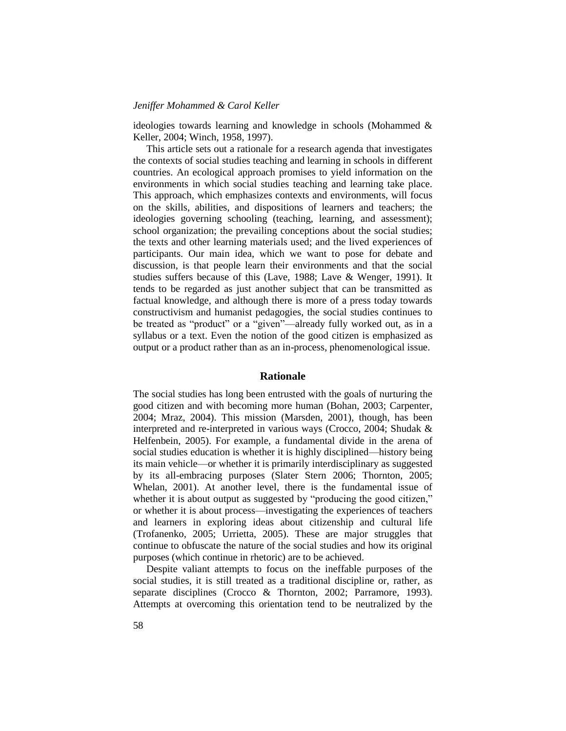ideologies towards learning and knowledge in schools (Mohammed & Keller, 2004; Winch, 1958, 1997).

This article sets out a rationale for a research agenda that investigates the contexts of social studies teaching and learning in schools in different countries. An ecological approach promises to yield information on the environments in which social studies teaching and learning take place. This approach, which emphasizes contexts and environments, will focus on the skills, abilities, and dispositions of learners and teachers; the ideologies governing schooling (teaching, learning, and assessment); school organization; the prevailing conceptions about the social studies; the texts and other learning materials used; and the lived experiences of participants. Our main idea, which we want to pose for debate and discussion, is that people learn their environments and that the social studies suffers because of this (Lave, 1988; Lave & Wenger, 1991). It tends to be regarded as just another subject that can be transmitted as factual knowledge, and although there is more of a press today towards constructivism and humanist pedagogies, the social studies continues to be treated as "product" or a "given"—already fully worked out, as in a syllabus or a text. Even the notion of the good citizen is emphasized as output or a product rather than as an in-process, phenomenological issue.

## **Rationale**

The social studies has long been entrusted with the goals of nurturing the good citizen and with becoming more human (Bohan, 2003; Carpenter, 2004; Mraz, 2004). This mission (Marsden, 2001), though, has been interpreted and re-interpreted in various ways (Crocco, 2004; Shudak & Helfenbein, 2005). For example, a fundamental divide in the arena of social studies education is whether it is highly disciplined—history being its main vehicle—or whether it is primarily interdisciplinary as suggested by its all-embracing purposes (Slater Stern 2006; Thornton, 2005; Whelan, 2001). At another level, there is the fundamental issue of whether it is about output as suggested by "producing the good citizen," or whether it is about process—investigating the experiences of teachers and learners in exploring ideas about citizenship and cultural life (Trofanenko, 2005; Urrietta, 2005). These are major struggles that continue to obfuscate the nature of the social studies and how its original purposes (which continue in rhetoric) are to be achieved.

Despite valiant attempts to focus on the ineffable purposes of the social studies, it is still treated as a traditional discipline or, rather, as separate disciplines (Crocco & Thornton, 2002; Parramore, 1993). Attempts at overcoming this orientation tend to be neutralized by the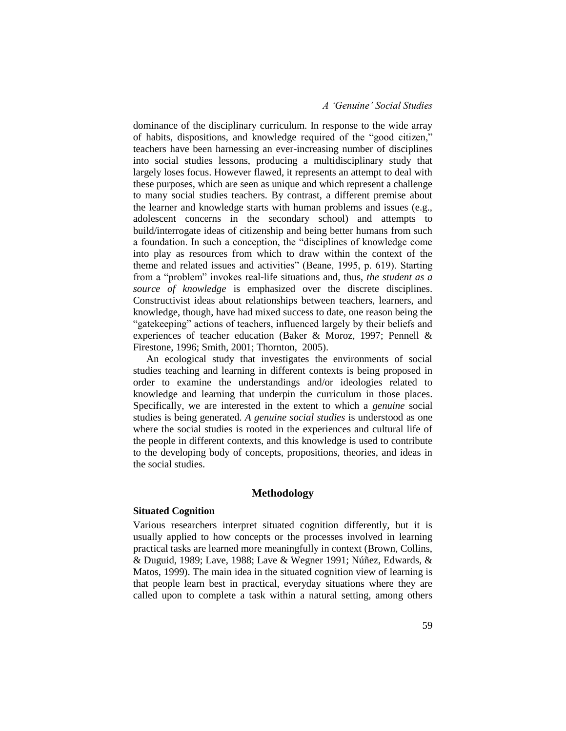## *A 'Genuine' Social Studies*

dominance of the disciplinary curriculum. In response to the wide array of habits, dispositions, and knowledge required of the "good citizen," teachers have been harnessing an ever-increasing number of disciplines into social studies lessons, producing a multidisciplinary study that largely loses focus. However flawed, it represents an attempt to deal with these purposes, which are seen as unique and which represent a challenge to many social studies teachers. By contrast, a different premise about the learner and knowledge starts with human problems and issues (e.g., adolescent concerns in the secondary school) and attempts to build/interrogate ideas of citizenship and being better humans from such a foundation. In such a conception, the "disciplines of knowledge come into play as resources from which to draw within the context of the theme and related issues and activities" (Beane, 1995, p. 619). Starting from a "problem" invokes real-life situations and, thus, *the student as a source of knowledge* is emphasized over the discrete disciplines. Constructivist ideas about relationships between teachers, learners, and knowledge, though, have had mixed success to date, one reason being the "gatekeeping" actions of teachers, influenced largely by their beliefs and experiences of teacher education (Baker & Moroz, 1997; Pennell & Firestone, 1996; Smith, 2001; Thornton, 2005).

An ecological study that investigates the environments of social studies teaching and learning in different contexts is being proposed in order to examine the understandings and/or ideologies related to knowledge and learning that underpin the curriculum in those places. Specifically, we are interested in the extent to which a *genuine* social studies is being generated. *A genuine social studies* is understood as one where the social studies is rooted in the experiences and cultural life of the people in different contexts, and this knowledge is used to contribute to the developing body of concepts, propositions, theories, and ideas in the social studies.

## **Methodology**

#### **Situated Cognition**

Various researchers interpret situated cognition differently, but it is usually applied to how concepts or the processes involved in learning practical tasks are learned more meaningfully in context (Brown, Collins, & Duguid, 1989; Lave, 1988; Lave & Wegner 1991; Núñez, Edwards, & Matos, 1999). The main idea in the situated cognition view of learning is that people learn best in practical, everyday situations where they are called upon to complete a task within a natural setting, among others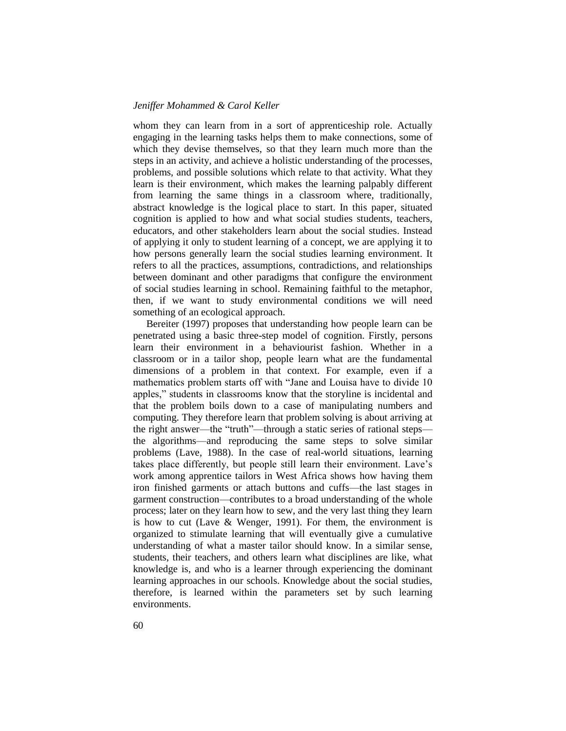whom they can learn from in a sort of apprenticeship role. Actually engaging in the learning tasks helps them to make connections, some of which they devise themselves, so that they learn much more than the steps in an activity, and achieve a holistic understanding of the processes, problems, and possible solutions which relate to that activity. What they learn is their environment, which makes the learning palpably different from learning the same things in a classroom where, traditionally, abstract knowledge is the logical place to start. In this paper, situated cognition is applied to how and what social studies students, teachers, educators, and other stakeholders learn about the social studies. Instead of applying it only to student learning of a concept, we are applying it to how persons generally learn the social studies learning environment. It refers to all the practices, assumptions, contradictions, and relationships between dominant and other paradigms that configure the environment of social studies learning in school. Remaining faithful to the metaphor, then, if we want to study environmental conditions we will need something of an ecological approach.

Bereiter (1997) proposes that understanding how people learn can be penetrated using a basic three-step model of cognition. Firstly, persons learn their environment in a behaviourist fashion. Whether in a classroom or in a tailor shop, people learn what are the fundamental dimensions of a problem in that context. For example, even if a mathematics problem starts off with "Jane and Louisa have to divide 10 apples," students in classrooms know that the storyline is incidental and that the problem boils down to a case of manipulating numbers and computing. They therefore learn that problem solving is about arriving at the right answer—the "truth"—through a static series of rational steps the algorithms—and reproducing the same steps to solve similar problems (Lave, 1988). In the case of real-world situations, learning takes place differently, but people still learn their environment. Lave's work among apprentice tailors in West Africa shows how having them iron finished garments or attach buttons and cuffs—the last stages in garment construction—contributes to a broad understanding of the whole process; later on they learn how to sew, and the very last thing they learn is how to cut (Lave & Wenger, 1991). For them, the environment is organized to stimulate learning that will eventually give a cumulative understanding of what a master tailor should know. In a similar sense, students, their teachers, and others learn what disciplines are like, what knowledge is, and who is a learner through experiencing the dominant learning approaches in our schools. Knowledge about the social studies, therefore, is learned within the parameters set by such learning environments.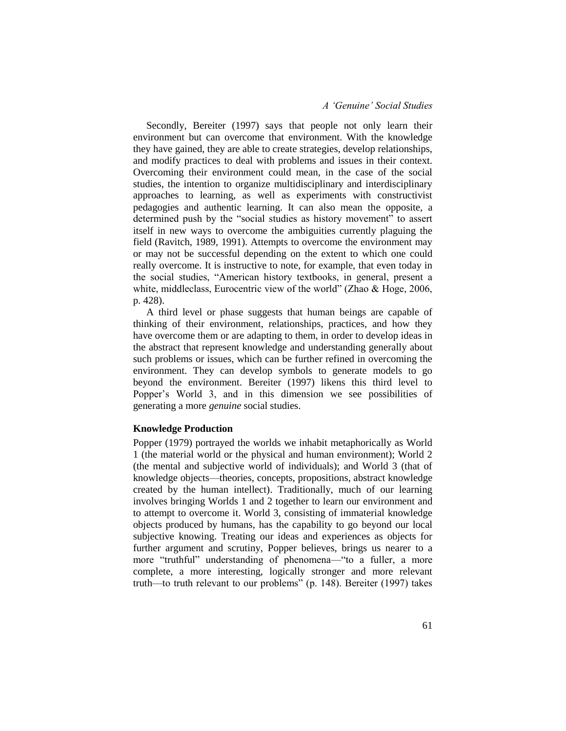## *A 'Genuine' Social Studies*

Secondly, Bereiter (1997) says that people not only learn their environment but can overcome that environment. With the knowledge they have gained, they are able to create strategies, develop relationships, and modify practices to deal with problems and issues in their context. Overcoming their environment could mean, in the case of the social studies, the intention to organize multidisciplinary and interdisciplinary approaches to learning, as well as experiments with constructivist pedagogies and authentic learning. It can also mean the opposite, a determined push by the "social studies as history movement" to assert itself in new ways to overcome the ambiguities currently plaguing the field (Ravitch, 1989, 1991). Attempts to overcome the environment may or may not be successful depending on the extent to which one could really overcome. It is instructive to note, for example, that even today in the social studies, "American history textbooks, in general, present a white, middleclass, Eurocentric view of the world" (Zhao & Hoge, 2006, p. 428).

A third level or phase suggests that human beings are capable of thinking of their environment, relationships, practices, and how they have overcome them or are adapting to them, in order to develop ideas in the abstract that represent knowledge and understanding generally about such problems or issues, which can be further refined in overcoming the environment. They can develop symbols to generate models to go beyond the environment. Bereiter (1997) likens this third level to Popper's World 3, and in this dimension we see possibilities of generating a more *genuine* social studies.

#### **Knowledge Production**

Popper (1979) portrayed the worlds we inhabit metaphorically as World 1 (the material world or the physical and human environment); World 2 (the mental and subjective world of individuals); and World 3 (that of knowledge objects—theories, concepts, propositions, abstract knowledge created by the human intellect). Traditionally, much of our learning involves bringing Worlds 1 and 2 together to learn our environment and to attempt to overcome it. World 3, consisting of immaterial knowledge objects produced by humans, has the capability to go beyond our local subjective knowing. Treating our ideas and experiences as objects for further argument and scrutiny, Popper believes, brings us nearer to a more "truthful" understanding of phenomena—"to a fuller, a more complete, a more interesting, logically stronger and more relevant truth—to truth relevant to our problems" (p. 148). Bereiter (1997) takes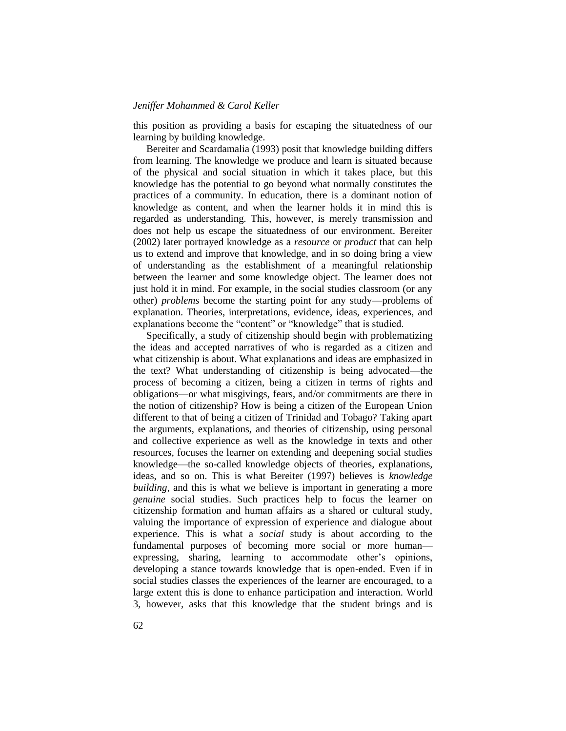this position as providing a basis for escaping the situatedness of our learning by building knowledge.

Bereiter and Scardamalia (1993) posit that knowledge building differs from learning. The knowledge we produce and learn is situated because of the physical and social situation in which it takes place, but this knowledge has the potential to go beyond what normally constitutes the practices of a community. In education, there is a dominant notion of knowledge as content, and when the learner holds it in mind this is regarded as understanding. This, however, is merely transmission and does not help us escape the situatedness of our environment. Bereiter (2002) later portrayed knowledge as a *resource* or *product* that can help us to extend and improve that knowledge, and in so doing bring a view of understanding as the establishment of a meaningful relationship between the learner and some knowledge object. The learner does not just hold it in mind. For example, in the social studies classroom (or any other) *problems* become the starting point for any study—problems of explanation. Theories, interpretations, evidence, ideas, experiences, and explanations become the "content" or "knowledge" that is studied.

Specifically, a study of citizenship should begin with problematizing the ideas and accepted narratives of who is regarded as a citizen and what citizenship is about. What explanations and ideas are emphasized in the text? What understanding of citizenship is being advocated—the process of becoming a citizen, being a citizen in terms of rights and obligations—or what misgivings, fears, and/or commitments are there in the notion of citizenship? How is being a citizen of the European Union different to that of being a citizen of Trinidad and Tobago? Taking apart the arguments, explanations, and theories of citizenship, using personal and collective experience as well as the knowledge in texts and other resources, focuses the learner on extending and deepening social studies knowledge—the so-called knowledge objects of theories, explanations, ideas, and so on. This is what Bereiter (1997) believes is *knowledge building,* and this is what we believe is important in generating a more *genuine* social studies. Such practices help to focus the learner on citizenship formation and human affairs as a shared or cultural study, valuing the importance of expression of experience and dialogue about experience. This is what a *social* study is about according to the fundamental purposes of becoming more social or more human expressing, sharing, learning to accommodate other's opinions, developing a stance towards knowledge that is open-ended. Even if in social studies classes the experiences of the learner are encouraged, to a large extent this is done to enhance participation and interaction. World 3, however, asks that this knowledge that the student brings and is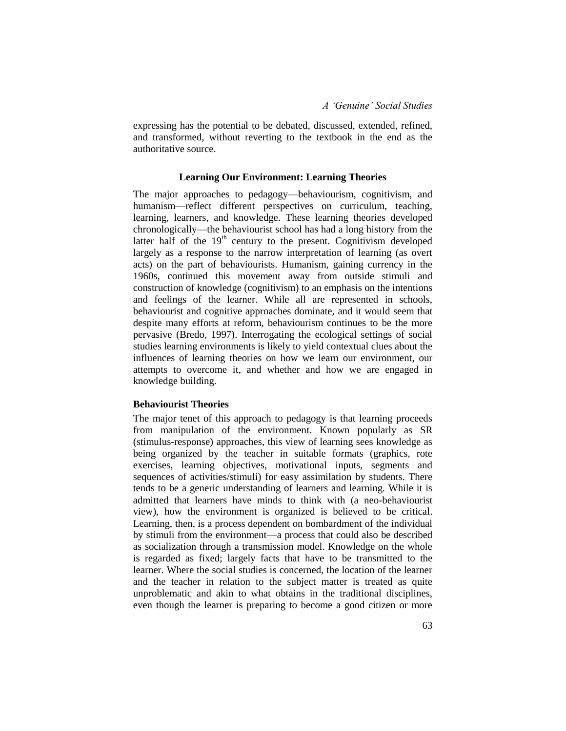expressing has the potential to be debated, discussed, extended, refined, and transformed, without reverting to the textbook in the end as the authoritative source.

### **Learning Our Environment: Learning Theories**

The major approaches to pedagogy—behaviourism, cognitivism, and humanism—reflect different perspectives on curriculum, teaching, learning, learners, and knowledge. These learning theories developed chronologically—the behaviourist school has had a long history from the latter half of the  $19<sup>th</sup>$  century to the present. Cognitivism developed largely as a response to the narrow interpretation of learning (as overt acts) on the part of behaviourists. Humanism, gaining currency in the 1960s, continued this movement away from outside stimuli and construction of knowledge (cognitivism) to an emphasis on the intentions and feelings of the learner. While all are represented in schools, behaviourist and cognitive approaches dominate, and it would seem that despite many efforts at reform, behaviourism continues to be the more pervasive (Bredo, 1997). Interrogating the ecological settings of social studies learning environments is likely to yield contextual clues about the influences of learning theories on how we learn our environment, our attempts to overcome it, and whether and how we are engaged in knowledge building.

#### **Behaviourist Theories**

The major tenet of this approach to pedagogy is that learning proceeds from manipulation of the environment. Known popularly as SR (stimulus-response) approaches, this view of learning sees knowledge as being organized by the teacher in suitable formats (graphics, rote exercises, learning objectives, motivational inputs, segments and sequences of activities/stimuli) for easy assimilation by students. There tends to be a generic understanding of learners and learning. While it is admitted that learners have minds to think with (a neo-behaviourist view), how the environment is organized is believed to be critical. Learning, then, is a process dependent on bombardment of the individual by stimuli from the environment—a process that could also be described as socialization through a transmission model. Knowledge on the whole is regarded as fixed; largely facts that have to be transmitted to the learner. Where the social studies is concerned, the location of the learner and the teacher in relation to the subject matter is treated as quite unproblematic and akin to what obtains in the traditional disciplines, even though the learner is preparing to become a good citizen or more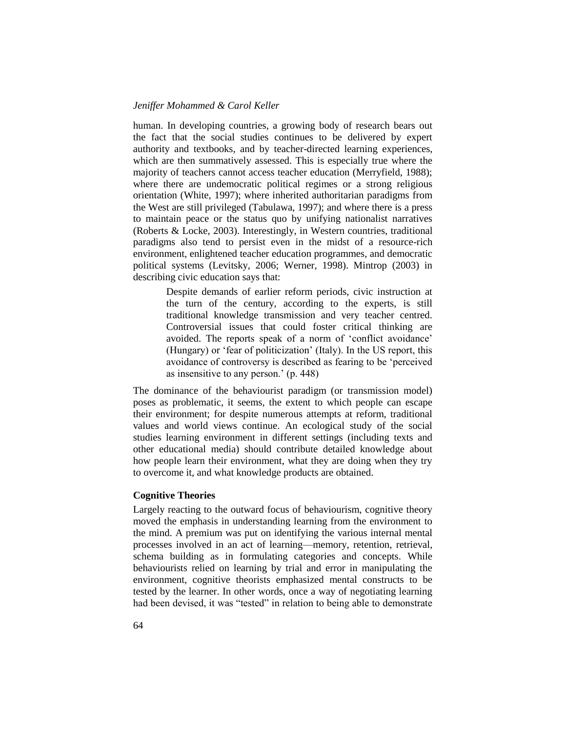human. In developing countries, a growing body of research bears out the fact that the social studies continues to be delivered by expert authority and textbooks, and by teacher-directed learning experiences, which are then summatively assessed. This is especially true where the majority of teachers cannot access teacher education (Merryfield, 1988); where there are undemocratic political regimes or a strong religious orientation (White, 1997); where inherited authoritarian paradigms from the West are still privileged (Tabulawa, 1997); and where there is a press to maintain peace or the status quo by unifying nationalist narratives (Roberts & Locke, 2003). Interestingly, in Western countries, traditional paradigms also tend to persist even in the midst of a resource-rich environment, enlightened teacher education programmes, and democratic political systems (Levitsky, 2006; Werner, 1998). Mintrop (2003) in describing civic education says that:

> Despite demands of earlier reform periods, civic instruction at the turn of the century, according to the experts, is still traditional knowledge transmission and very teacher centred. Controversial issues that could foster critical thinking are avoided. The reports speak of a norm of 'conflict avoidance' (Hungary) or 'fear of politicization' (Italy). In the US report, this avoidance of controversy is described as fearing to be 'perceived as insensitive to any person.' (p. 448)

The dominance of the behaviourist paradigm (or transmission model) poses as problematic, it seems, the extent to which people can escape their environment; for despite numerous attempts at reform, traditional values and world views continue. An ecological study of the social studies learning environment in different settings (including texts and other educational media) should contribute detailed knowledge about how people learn their environment, what they are doing when they try to overcome it, and what knowledge products are obtained.

## **Cognitive Theories**

Largely reacting to the outward focus of behaviourism, cognitive theory moved the emphasis in understanding learning from the environment to the mind. A premium was put on identifying the various internal mental processes involved in an act of learning—memory, retention, retrieval, schema building as in formulating categories and concepts. While behaviourists relied on learning by trial and error in manipulating the environment, cognitive theorists emphasized mental constructs to be tested by the learner. In other words, once a way of negotiating learning had been devised, it was "tested" in relation to being able to demonstrate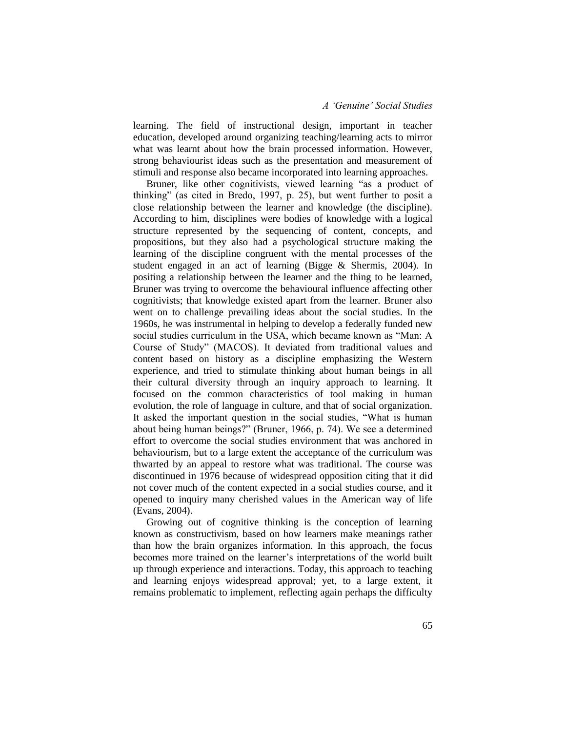## *A 'Genuine' Social Studies*

learning. The field of instructional design, important in teacher education, developed around organizing teaching/learning acts to mirror what was learnt about how the brain processed information. However, strong behaviourist ideas such as the presentation and measurement of stimuli and response also became incorporated into learning approaches.

Bruner, like other cognitivists, viewed learning "as a product of thinking" (as cited in Bredo, 1997, p. 25), but went further to posit a close relationship between the learner and knowledge (the discipline). According to him, disciplines were bodies of knowledge with a logical structure represented by the sequencing of content, concepts, and propositions, but they also had a psychological structure making the learning of the discipline congruent with the mental processes of the student engaged in an act of learning (Bigge & Shermis, 2004). In positing a relationship between the learner and the thing to be learned, Bruner was trying to overcome the behavioural influence affecting other cognitivists; that knowledge existed apart from the learner. Bruner also went on to challenge prevailing ideas about the social studies. In the 1960s, he was instrumental in helping to develop a federally funded new social studies curriculum in the USA, which became known as "Man: A Course of Study" (MACOS). It deviated from traditional values and content based on history as a discipline emphasizing the Western experience, and tried to stimulate thinking about human beings in all their cultural diversity through an inquiry approach to learning. It focused on the common characteristics of tool making in human evolution, the role of language in culture, and that of social organization. It asked the important question in the social studies, "What is human about being human beings?" (Bruner, 1966, p. 74). We see a determined effort to overcome the social studies environment that was anchored in behaviourism, but to a large extent the acceptance of the curriculum was thwarted by an appeal to restore what was traditional. The course was discontinued in 1976 because of widespread opposition citing that it did not cover much of the content expected in a social studies course, and it opened to inquiry many cherished values in the American way of life (Evans, 2004).

Growing out of cognitive thinking is the conception of learning known as constructivism, based on how learners make meanings rather than how the brain organizes information. In this approach, the focus becomes more trained on the learner's interpretations of the world built up through experience and interactions. Today, this approach to teaching and learning enjoys widespread approval; yet, to a large extent, it remains problematic to implement, reflecting again perhaps the difficulty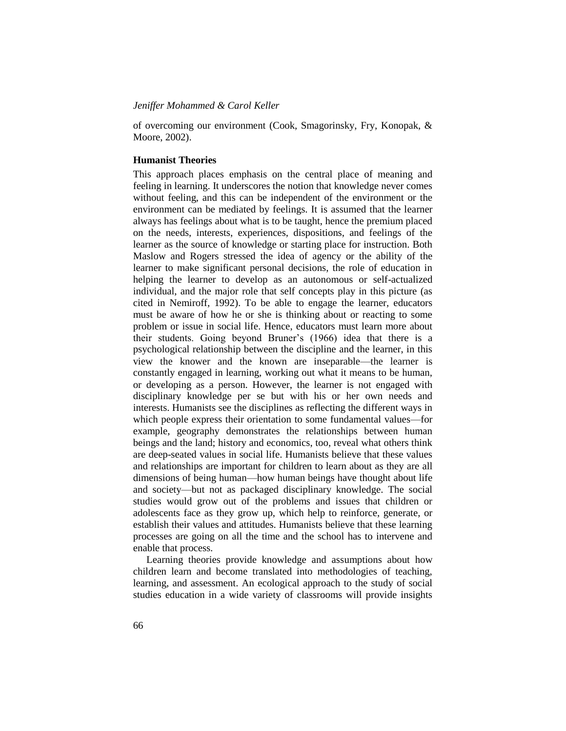of overcoming our environment (Cook, Smagorinsky, Fry, Konopak, & Moore, 2002).

#### **Humanist Theories**

This approach places emphasis on the central place of meaning and feeling in learning. It underscores the notion that knowledge never comes without feeling, and this can be independent of the environment or the environment can be mediated by feelings. It is assumed that the learner always has feelings about what is to be taught, hence the premium placed on the needs, interests, experiences, dispositions, and feelings of the learner as the source of knowledge or starting place for instruction. Both Maslow and Rogers stressed the idea of agency or the ability of the learner to make significant personal decisions, the role of education in helping the learner to develop as an autonomous or self-actualized individual, and the major role that self concepts play in this picture (as cited in Nemiroff, 1992). To be able to engage the learner, educators must be aware of how he or she is thinking about or reacting to some problem or issue in social life. Hence, educators must learn more about their students. Going beyond Bruner's (1966) idea that there is a psychological relationship between the discipline and the learner, in this view the knower and the known are inseparable—the learner is constantly engaged in learning, working out what it means to be human, or developing as a person. However, the learner is not engaged with disciplinary knowledge per se but with his or her own needs and interests. Humanists see the disciplines as reflecting the different ways in which people express their orientation to some fundamental values—for example, geography demonstrates the relationships between human beings and the land; history and economics, too, reveal what others think are deep-seated values in social life. Humanists believe that these values and relationships are important for children to learn about as they are all dimensions of being human—how human beings have thought about life and society—but not as packaged disciplinary knowledge. The social studies would grow out of the problems and issues that children or adolescents face as they grow up, which help to reinforce, generate, or establish their values and attitudes. Humanists believe that these learning processes are going on all the time and the school has to intervene and enable that process.

Learning theories provide knowledge and assumptions about how children learn and become translated into methodologies of teaching, learning, and assessment. An ecological approach to the study of social studies education in a wide variety of classrooms will provide insights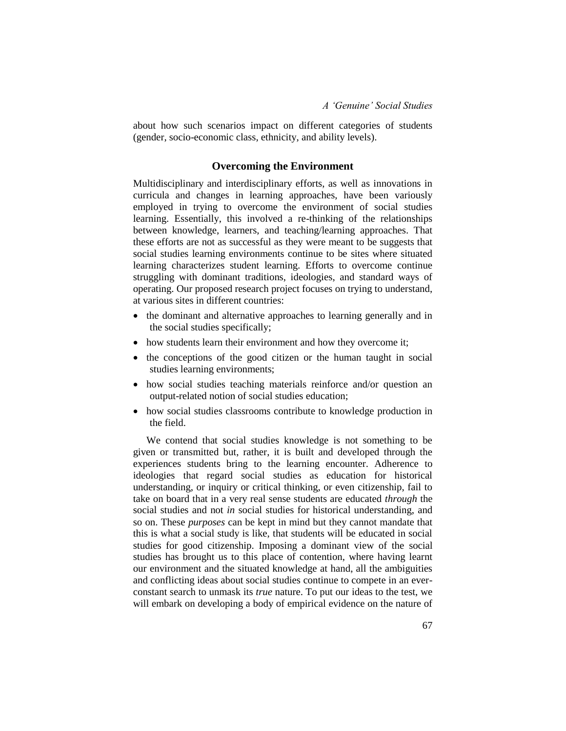about how such scenarios impact on different categories of students (gender, socio-economic class, ethnicity, and ability levels).

### **Overcoming the Environment**

Multidisciplinary and interdisciplinary efforts, as well as innovations in curricula and changes in learning approaches, have been variously employed in trying to overcome the environment of social studies learning. Essentially, this involved a re-thinking of the relationships between knowledge, learners, and teaching/learning approaches. That these efforts are not as successful as they were meant to be suggests that social studies learning environments continue to be sites where situated learning characterizes student learning. Efforts to overcome continue struggling with dominant traditions, ideologies, and standard ways of operating. Our proposed research project focuses on trying to understand, at various sites in different countries:

- the dominant and alternative approaches to learning generally and in the social studies specifically;
- how students learn their environment and how they overcome it;
- the conceptions of the good citizen or the human taught in social studies learning environments;
- how social studies teaching materials reinforce and/or question an output-related notion of social studies education;
- how social studies classrooms contribute to knowledge production in the field.

We contend that social studies knowledge is not something to be given or transmitted but, rather, it is built and developed through the experiences students bring to the learning encounter. Adherence to ideologies that regard social studies as education for historical understanding, or inquiry or critical thinking, or even citizenship, fail to take on board that in a very real sense students are educated *through* the social studies and not *in* social studies for historical understanding, and so on. These *purposes* can be kept in mind but they cannot mandate that this is what a social study is like, that students will be educated in social studies for good citizenship. Imposing a dominant view of the social studies has brought us to this place of contention, where having learnt our environment and the situated knowledge at hand, all the ambiguities and conflicting ideas about social studies continue to compete in an everconstant search to unmask its *true* nature. To put our ideas to the test, we will embark on developing a body of empirical evidence on the nature of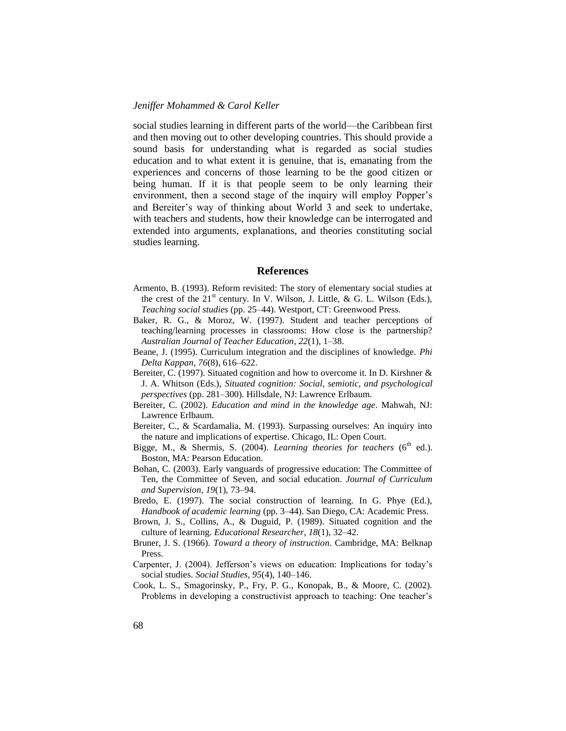social studies learning in different parts of the world—the Caribbean first and then moving out to other developing countries. This should provide a sound basis for understanding what is regarded as social studies education and to what extent it is genuine, that is, emanating from the experiences and concerns of those learning to be the good citizen or being human. If it is that people seem to be only learning their environment, then a second stage of the inquiry will employ Popper's and Bereiter's way of thinking about World 3 and seek to undertake, with teachers and students, how their knowledge can be interrogated and extended into arguments, explanations, and theories constituting social studies learning.

#### **References**

- Armento, B. (1993). Reform revisited: The story of elementary social studies at the crest of the  $21^{st}$  century. In V. Wilson, J. Little, & G. L. Wilson (Eds.), *Teaching social studies* (pp. 25–44). Westport, CT: Greenwood Press.
- Baker, R. G., & Moroz, W. (1997). Student and teacher perceptions of teaching/learning processes in classrooms: How close is the partnership? *Australian Journal of Teacher Education*, *22*(1), 1–38.
- Beane, J. (1995). Curriculum integration and the disciplines of knowledge. *Phi Delta Kappan*, *76*(8), 616–622.
- Bereiter, C. (1997). Situated cognition and how to overcome it. In D. Kirshner & J. A. Whitson (Eds.), *Situated cognition: Social, semiotic, and psychological perspectives* (pp. 281–300). Hillsdale, NJ: Lawrence Erlbaum.
- Bereiter, C. (2002). *Education and mind in the knowledge age*. Mahwah, NJ: Lawrence Erlbaum.
- Bereiter, C., & Scardamalia, M. (1993). Surpassing ourselves: An inquiry into the nature and implications of expertise. Chicago, IL: Open Court.
- Bigge, M., & Shermis, S. (2004). *Learning theories for teachers* ( $6<sup>th</sup>$  ed.). Boston, MA: Pearson Education.
- Bohan, C. (2003). Early vanguards of progressive education: The Committee of Ten, the Committee of Seven, and social education. *Journal of Curriculum and Supervision, 19*(1), 73–94.
- Bredo, E. (1997). The social construction of learning. In G. Phye (Ed.), *Handbook of academic learning* (pp. 3–44). San Diego, CA: Academic Press.
- Brown, J. S., Collins, A., & Duguid, P. (1989). Situated cognition and the culture of learning. *Educational Researcher*, *18*(1), 32–42.
- Bruner, J. S. (1966). *Toward a theory of instruction*. Cambridge, MA: Belknap Press.
- Carpenter, J. (2004). Jefferson's views on education: Implications for today's social studies. *Social Studies*, *95*(4), 140–146.
- Cook, L. S., Smagorinsky, P., Fry, P. G., Konopak, B., & Moore, C. (2002). Problems in developing a constructivist approach to teaching: One teacher's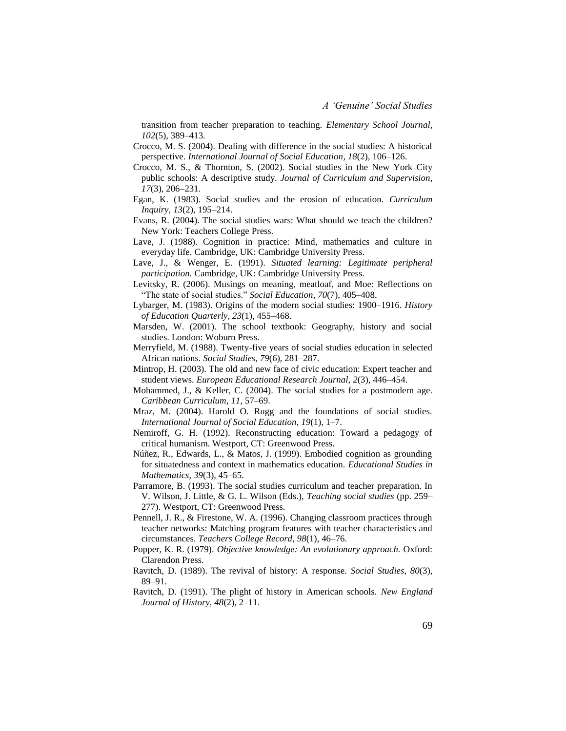transition from teacher preparation to teaching. *Elementary School Journal*, *102*(5), 389–413.

- Crocco, M. S. (2004). Dealing with difference in the social studies: A historical perspective. *International Journal of Social Education*, *18*(2), 106–126.
- Crocco, M. S., & Thornton, S. (2002). Social studies in the New York City public schools: A descriptive study. *Journal of Curriculum and Supervision*, *17*(3), 206–231.
- Egan, K. (1983). Social studies and the erosion of education. *Curriculum Inquiry, 13*(2), 195–214.
- Evans, R. (2004). The social studies wars: What should we teach the children? New York: Teachers College Press.
- Lave, J. (1988). Cognition in practice: Mind, mathematics and culture in everyday life. Cambridge, UK: Cambridge University Press.
- Lave, J., & Wenger, E. (1991). *Situated learning: Legitimate peripheral participation.* Cambridge, UK: Cambridge University Press.
- Levitsky, R. (2006). Musings on meaning, meatloaf, and Moe: Reflections on "The state of social studies." *Social Education*, *70*(7), 405–408.
- Lybarger, M. (1983). Origins of the modern social studies: 1900–1916. *History of Education Quarterly*, *23*(1), 455–468.
- Marsden, W. (2001). The school textbook: Geography, history and social studies. London: Woburn Press.
- Merryfield, M. (1988). Twenty-five years of social studies education in selected African nations. *Social Studies*, *79*(6), 281–287.
- Mintrop, H. (2003). The old and new face of civic education: Expert teacher and student views. *European Educational Research Journal, 2*(3), 446–454.
- Mohammed, J., & Keller, C. (2004). The social studies for a postmodern age. *Caribbean Curriculum*, *11*, 57–69.
- Mraz, M. (2004). Harold O. Rugg and the foundations of social studies. *International Journal of Social Education*, *19*(1), 1–7.
- Nemiroff, G. H. (1992). Reconstructing education: Toward a pedagogy of critical humanism. Westport, CT: Greenwood Press.
- Núñez, R., Edwards, L., & Matos, J. (1999). Embodied cognition as grounding for situatedness and context in mathematics education. *Educational Studies in Mathematics*, *39*(3), 45–65.
- Parramore, B. (1993). The social studies curriculum and teacher preparation. In V. Wilson, J. Little, & G. L. Wilson (Eds.), *Teaching social studies* (pp. 259– 277). Westport, CT: Greenwood Press.
- Pennell, J. R., & Firestone, W. A. (1996). Changing classroom practices through teacher networks: Matching program features with teacher characteristics and circumstances. *Teachers College Record*, *98*(1), 46–76.
- Popper, K. R. (1979). *Objective knowledge: An evolutionary approach.* Oxford: Clarendon Press.
- Ravitch, D. (1989). The revival of history: A response. *Social Studies*, *80*(3), 89–91.
- Ravitch, D. (1991). The plight of history in American schools. *New England Journal of History*, *48*(2), 2–11.